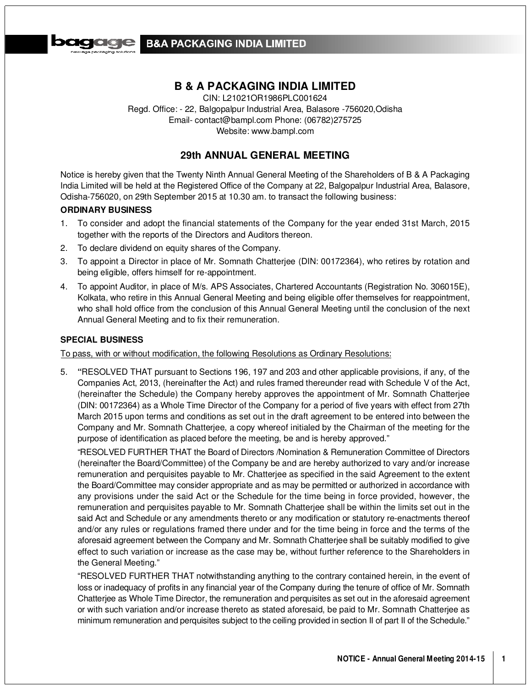

# **B&A PACKAGING INDIA LIMITED**

# **B & A PACKAGING INDIA LIMITED**

CIN: L21021OR1986PLC001624 Regd. Office: - 22, Balgopalpur Industrial Area, Balasore -756020,Odisha Email- contact@bampl.com Phone: (06782)275725 Website: www.bampl.com

# **29th ANNUAL GENERAL MEETING**

Notice is hereby given that the Twenty Ninth Annual General Meeting of the Shareholders of B & A Packaging India Limited will be held at the Registered Office of the Company at 22, Balgopalpur Industrial Area, Balasore, Odisha-756020, on 29th September 2015 at 10.30 am. to transact the following business:

## **ORDINARY BUSINESS**

- 1. To consider and adopt the financial statements of the Company for the year ended 31st March, 2015 together with the reports of the Directors and Auditors thereon.
- 2. To declare dividend on equity shares of the Company.
- 3. To appoint a Director in place of Mr. Somnath Chatterjee (DIN: 00172364), who retires by rotation and being eligible, offers himself for re-appointment.
- 4. To appoint Auditor, in place of M/s. APS Associates, Chartered Accountants (Registration No. 306015E), Kolkata, who retire in this Annual General Meeting and being eligible offer themselves for reappointment, who shall hold office from the conclusion of this Annual General Meeting until the conclusion of the next Annual General Meeting and to fix their remuneration.

# **SPECIAL BUSINESS**

To pass, with or without modification, the following Resolutions as Ordinary Resolutions:

5. **"**RESOLVED THAT pursuant to Sections 196, 197 and 203 and other applicable provisions, if any, of the Companies Act, 2013, (hereinafter the Act) and rules framed thereunder read with Schedule V of the Act, (hereinafter the Schedule) the Company hereby approves the appointment of Mr. Somnath Chatterjee (DIN: 00172364) as a Whole Time Director of the Company for a period of five years with effect from 27th March 2015 upon terms and conditions as set out in the draft agreement to be entered into between the Company and Mr. Somnath Chatterjee, a copy whereof initialed by the Chairman of the meeting for the purpose of identification as placed before the meeting, be and is hereby approved."

"RESOLVED FURTHER THAT the Board of Directors /Nomination & Remuneration Committee of Directors (hereinafter the Board/Committee) of the Company be and are hereby authorized to vary and/or increase remuneration and perquisites payable to Mr. Chatterjee as specified in the said Agreement to the extent the Board/Committee may consider appropriate and as may be permitted or authorized in accordance with any provisions under the said Act or the Schedule for the time being in force provided, however, the remuneration and perquisites payable to Mr. Somnath Chatterjee shall be within the limits set out in the said Act and Schedule or any amendments thereto or any modification or statutory re-enactments thereof and/or any rules or regulations framed there under and for the time being in force and the terms of the aforesaid agreement between the Company and Mr. Somnath Chatterjee shall be suitably modified to give effect to such variation or increase as the case may be, without further reference to the Shareholders in the General Meeting."

"RESOLVED FURTHER THAT notwithstanding anything to the contrary contained herein, in the event of loss or inadequacy of profits in any financial year of the Company during the tenure of office of Mr. Somnath Chatterjee as Whole Time Director, the remuneration and perquisites as set out in the aforesaid agreement or with such variation and/or increase thereto as stated aforesaid, be paid to Mr. Somnath Chatterjee as minimum remuneration and perquisites subject to the ceiling provided in section II of part II of the Schedule."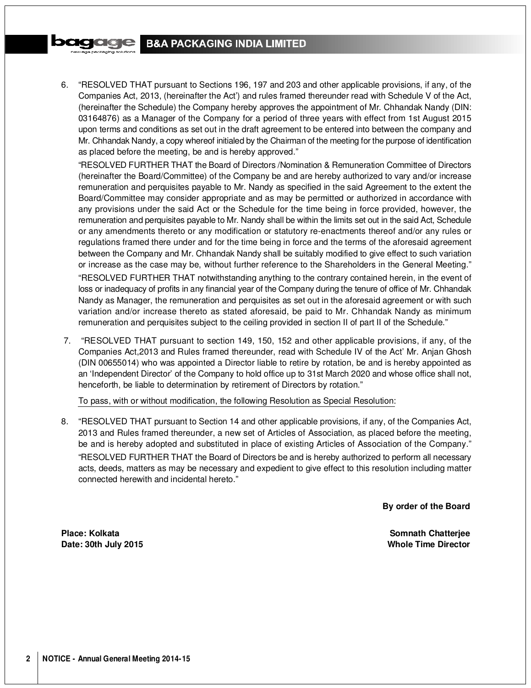# **B&A PACKAGING INDIA LIMITED**

6. "RESOLVED THAT pursuant to Sections 196, 197 and 203 and other applicable provisions, if any, of the Companies Act, 2013, (hereinafter the Act') and rules framed thereunder read with Schedule V of the Act, (hereinafter the Schedule) the Company hereby approves the appointment of Mr. Chhandak Nandy (DIN: 03164876) as a Manager of the Company for a period of three years with effect from 1st August 2015 upon terms and conditions as set out in the draft agreement to be entered into between the company and Mr. Chhandak Nandy, a copy whereof initialed by the Chairman of the meeting for the purpose of identification as placed before the meeting, be and is hereby approved."

"RESOLVED FURTHER THAT the Board of Directors /Nomination & Remuneration Committee of Directors (hereinafter the Board/Committee) of the Company be and are hereby authorized to vary and/or increase remuneration and perquisites payable to Mr. Nandy as specified in the said Agreement to the extent the Board/Committee may consider appropriate and as may be permitted or authorized in accordance with any provisions under the said Act or the Schedule for the time being in force provided, however, the remuneration and perquisites payable to Mr. Nandy shall be within the limits set out in the said Act, Schedule or any amendments thereto or any modification or statutory re-enactments thereof and/or any rules or regulations framed there under and for the time being in force and the terms of the aforesaid agreement between the Company and Mr. Chhandak Nandy shall be suitably modified to give effect to such variation or increase as the case may be, without further reference to the Shareholders in the General Meeting." "RESOLVED FURTHER THAT notwithstanding anything to the contrary contained herein, in the event of loss or inadequacy of profits in any financial year of the Company during the tenure of office of Mr. Chhandak Nandy as Manager, the remuneration and perquisites as set out in the aforesaid agreement or with such variation and/or increase thereto as stated aforesaid, be paid to Mr. Chhandak Nandy as minimum

7. "RESOLVED THAT pursuant to section 149, 150, 152 and other applicable provisions, if any, of the Companies Act,2013 and Rules framed thereunder, read with Schedule IV of the Act' Mr. Anjan Ghosh (DIN 00655014) who was appointed a Director liable to retire by rotation, be and is hereby appointed as an 'Independent Director' of the Company to hold office up to 31st March 2020 and whose office shall not, henceforth, be liable to determination by retirement of Directors by rotation."

remuneration and perquisites subject to the ceiling provided in section II of part II of the Schedule."

To pass, with or without modification, the following Resolution as Special Resolution:

8. "RESOLVED THAT pursuant to Section 14 and other applicable provisions, if any, of the Companies Act, 2013 and Rules framed thereunder, a new set of Articles of Association, as placed before the meeting, be and is hereby adopted and substituted in place of existing Articles of Association of the Company." "RESOLVED FURTHER THAT the Board of Directors be and is hereby authorized to perform all necessary acts, deeds, matters as may be necessary and expedient to give effect to this resolution including matter connected herewith and incidental hereto."

**By order of the Board**

**Place: Kolkata Somnath Chatterjee Date: 30th July 2015 Whole Time Director**

**DOICICE**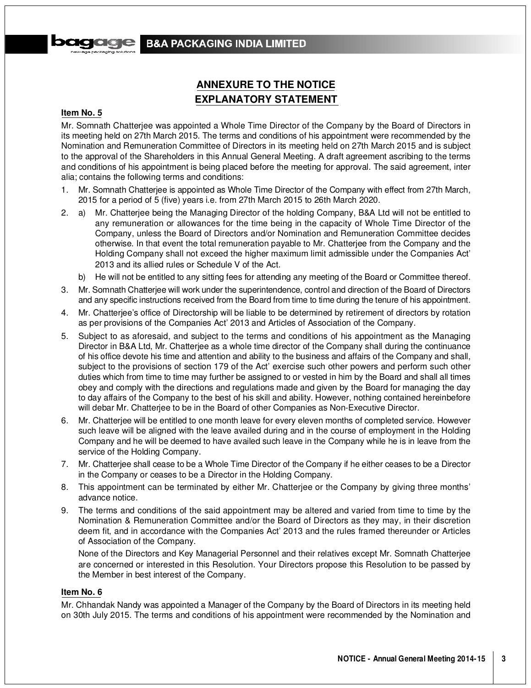

# **ANNEXURE TO THE NOTICE EXPLANATORY STATEMENT**

#### **Item No. 5**

Mr. Somnath Chatterjee was appointed a Whole Time Director of the Company by the Board of Directors in its meeting held on 27th March 2015. The terms and conditions of his appointment were recommended by the Nomination and Remuneration Committee of Directors in its meeting held on 27th March 2015 and is subject to the approval of the Shareholders in this Annual General Meeting. A draft agreement ascribing to the terms and conditions of his appointment is being placed before the meeting for approval. The said agreement, inter alia; contains the following terms and conditions:

- 1. Mr. Somnath Chatterjee is appointed as Whole Time Director of the Company with effect from 27th March, 2015 for a period of 5 (five) years i.e. from 27th March 2015 to 26th March 2020.
- 2. a) Mr. Chatterjee being the Managing Director of the holding Company, B&A Ltd will not be entitled to any remuneration or allowances for the time being in the capacity of Whole Time Director of the Company, unless the Board of Directors and/or Nomination and Remuneration Committee decides otherwise. In that event the total remuneration payable to Mr. Chatterjee from the Company and the Holding Company shall not exceed the higher maximum limit admissible under the Companies Act' 2013 and its allied rules or Schedule V of the Act.
	- b) He will not be entitled to any sitting fees for attending any meeting of the Board or Committee thereof.
- 3. Mr. Somnath Chatterjee will work under the superintendence, control and direction of the Board of Directors and any specific instructions received from the Board from time to time during the tenure of his appointment.
- 4. Mr. Chatterjee's office of Directorship will be liable to be determined by retirement of directors by rotation as per provisions of the Companies Act' 2013 and Articles of Association of the Company.
- 5. Subject to as aforesaid, and subject to the terms and conditions of his appointment as the Managing Director in B&A Ltd, Mr. Chatterjee as a whole time director of the Company shall during the continuance of his office devote his time and attention and ability to the business and affairs of the Company and shall, subject to the provisions of section 179 of the Act' exercise such other powers and perform such other duties which from time to time may further be assigned to or vested in him by the Board and shall all times obey and comply with the directions and regulations made and given by the Board for managing the day to day affairs of the Company to the best of his skill and ability. However, nothing contained hereinbefore will debar Mr. Chatterjee to be in the Board of other Companies as Non-Executive Director.
- 6. Mr. Chatterjee will be entitled to one month leave for every eleven months of completed service. However such leave will be aligned with the leave availed during and in the course of employment in the Holding Company and he will be deemed to have availed such leave in the Company while he is in leave from the service of the Holding Company.
- 7. Mr. Chatterjee shall cease to be a Whole Time Director of the Company if he either ceases to be a Director in the Company or ceases to be a Director in the Holding Company.
- 8. This appointment can be terminated by either Mr. Chatterjee or the Company by giving three months' advance notice.
- 9. The terms and conditions of the said appointment may be altered and varied from time to time by the Nomination & Remuneration Committee and/or the Board of Directors as they may, in their discretion deem fit, and in accordance with the Companies Act' 2013 and the rules framed thereunder or Articles of Association of the Company.

None of the Directors and Key Managerial Personnel and their relatives except Mr. Somnath Chatterjee are concerned or interested in this Resolution. Your Directors propose this Resolution to be passed by the Member in best interest of the Company.

# **Item No. 6**

Mr. Chhandak Nandy was appointed a Manager of the Company by the Board of Directors in its meeting held on 30th July 2015. The terms and conditions of his appointment were recommended by the Nomination and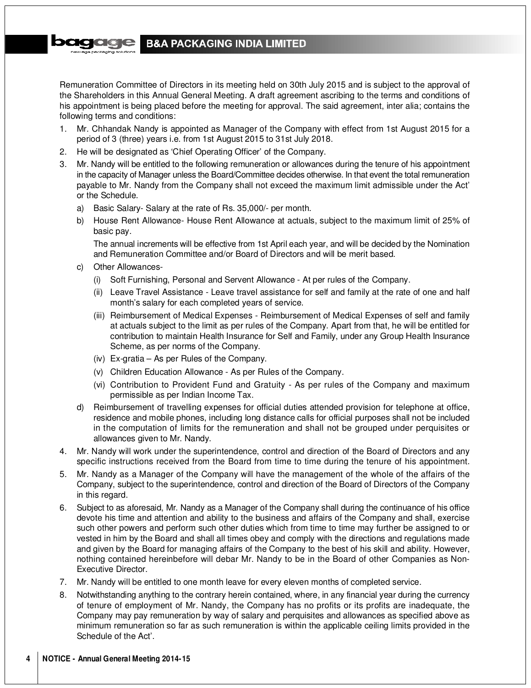#### **COCO SKIE B&A PACKAGING INDIA LIMITED**

Remuneration Committee of Directors in its meeting held on 30th July 2015 and is subject to the approval of the Shareholders in this Annual General Meeting. A draft agreement ascribing to the terms and conditions of his appointment is being placed before the meeting for approval. The said agreement, inter alia; contains the following terms and conditions:

- 1. Mr. Chhandak Nandy is appointed as Manager of the Company with effect from 1st August 2015 for a period of 3 (three) years i.e. from 1st August 2015 to 31st July 2018.
- 2. He will be designated as 'Chief Operating Officer' of the Company.
- 3. Mr. Nandy will be entitled to the following remuneration or allowances during the tenure of his appointment in the capacity of Manager unless the Board/Committee decides otherwise. In that event the total remuneration payable to Mr. Nandy from the Company shall not exceed the maximum limit admissible under the Act' or the Schedule.
	- a) Basic Salary- Salary at the rate of Rs. 35,000/- per month.
	- b) House Rent Allowance- House Rent Allowance at actuals, subject to the maximum limit of 25% of basic pay.

The annual increments will be effective from 1st April each year, and will be decided by the Nomination and Remuneration Committee and/or Board of Directors and will be merit based.

- c) Other Allowances-
	- (i) Soft Furnishing, Personal and Servent Allowance At per rules of the Company.
	- (ii) Leave Travel Assistance Leave travel assistance for self and family at the rate of one and half month's salary for each completed years of service.
	- (iii) Reimbursement of Medical Expenses Reimbursement of Medical Expenses of self and family at actuals subject to the limit as per rules of the Company. Apart from that, he will be entitled for contribution to maintain Health Insurance for Self and Family, under any Group Health Insurance Scheme, as per norms of the Company.
	- (iv) Ex-gratia As per Rules of the Company.
	- (v) Children Education Allowance As per Rules of the Company.
	- (vi) Contribution to Provident Fund and Gratuity As per rules of the Company and maximum permissible as per Indian Income Tax.
- d) Reimbursement of travelling expenses for official duties attended provision for telephone at office, residence and mobile phones, including long distance calls for official purposes shall not be included in the computation of limits for the remuneration and shall not be grouped under perquisites or allowances given to Mr. Nandy.
- 4. Mr. Nandy will work under the superintendence, control and direction of the Board of Directors and any specific instructions received from the Board from time to time during the tenure of his appointment.
- 5. Mr. Nandy as a Manager of the Company will have the management of the whole of the affairs of the Company, subject to the superintendence, control and direction of the Board of Directors of the Company in this regard.
- 6. Subject to as aforesaid, Mr. Nandy as a Manager of the Company shall during the continuance of his office devote his time and attention and ability to the business and affairs of the Company and shall, exercise such other powers and perform such other duties which from time to time may further be assigned to or vested in him by the Board and shall all times obey and comply with the directions and regulations made and given by the Board for managing affairs of the Company to the best of his skill and ability. However, nothing contained hereinbefore will debar Mr. Nandy to be in the Board of other Companies as Non-Executive Director.
- 7. Mr. Nandy will be entitled to one month leave for every eleven months of completed service.
- 8. Notwithstanding anything to the contrary herein contained, where, in any financial year during the currency of tenure of employment of Mr. Nandy, the Company has no profits or its profits are inadequate, the Company may pay remuneration by way of salary and perquisites and allowances as specified above as minimum remuneration so far as such remuneration is within the applicable ceiling limits provided in the Schedule of the Act'.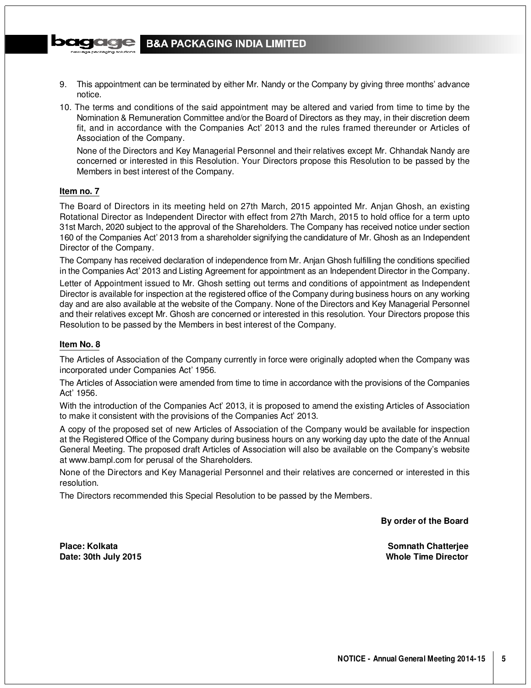

- 9. This appointment can be terminated by either Mr. Nandy or the Company by giving three months' advance notice.
- 10. The terms and conditions of the said appointment may be altered and varied from time to time by the Nomination & Remuneration Committee and/or the Board of Directors as they may, in their discretion deem fit, and in accordance with the Companies Act' 2013 and the rules framed thereunder or Articles of Association of the Company.

None of the Directors and Key Managerial Personnel and their relatives except Mr. Chhandak Nandy are concerned or interested in this Resolution. Your Directors propose this Resolution to be passed by the Members in best interest of the Company.

## **Item no. 7**

pagaa

The Board of Directors in its meeting held on 27th March, 2015 appointed Mr. Anjan Ghosh, an existing Rotational Director as Independent Director with effect from 27th March, 2015 to hold office for a term upto 31st March, 2020 subject to the approval of the Shareholders. The Company has received notice under section 160 of the Companies Act' 2013 from a shareholder signifying the candidature of Mr. Ghosh as an Independent Director of the Company.

The Company has received declaration of independence from Mr. Anjan Ghosh fulfilling the conditions specified in the Companies Act' 2013 and Listing Agreement for appointment as an Independent Director in the Company.

Letter of Appointment issued to Mr. Ghosh setting out terms and conditions of appointment as Independent Director is available for inspection at the registered office of the Company during business hours on any working day and are also available at the website of the Company. None of the Directors and Key Managerial Personnel and their relatives except Mr. Ghosh are concerned or interested in this resolution. Your Directors propose this Resolution to be passed by the Members in best interest of the Company.

## **Item No. 8**

The Articles of Association of the Company currently in force were originally adopted when the Company was incorporated under Companies Act' 1956.

The Articles of Association were amended from time to time in accordance with the provisions of the Companies Act' 1956.

With the introduction of the Companies Act' 2013, it is proposed to amend the existing Articles of Association to make it consistent with the provisions of the Companies Act' 2013.

A copy of the proposed set of new Articles of Association of the Company would be available for inspection at the Registered Office of the Company during business hours on any working day upto the date of the Annual General Meeting. The proposed draft Articles of Association will also be available on the Company's website at www.bampl.com for perusal of the Shareholders.

None of the Directors and Key Managerial Personnel and their relatives are concerned or interested in this resolution.

The Directors recommended this Special Resolution to be passed by the Members.

**By order of the Board**

**Date: 30th July 2015 Whole Time Director**

**Place: Kolkata Somnath Chatterjee**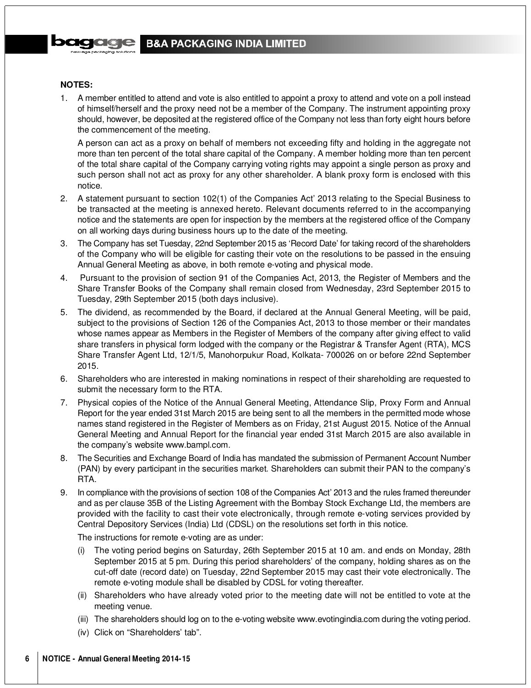# **B&A PACKAGING INDIA LIMITED**

## **NOTES:**

1. A member entitled to attend and vote is also entitled to appoint a proxy to attend and vote on a poll instead of himself/herself and the proxy need not be a member of the Company. The instrument appointing proxy should, however, be deposited at the registered office of the Company not less than forty eight hours before the commencement of the meeting.

A person can act as a proxy on behalf of members not exceeding fifty and holding in the aggregate not more than ten percent of the total share capital of the Company. A member holding more than ten percent of the total share capital of the Company carrying voting rights may appoint a single person as proxy and such person shall not act as proxy for any other shareholder. A blank proxy form is enclosed with this notice.

- 2. A statement pursuant to section 102(1) of the Companies Act' 2013 relating to the Special Business to be transacted at the meeting is annexed hereto. Relevant documents referred to in the accompanying notice and the statements are open for inspection by the members at the registered office of the Company on all working days during business hours up to the date of the meeting.
- 3. The Company has set Tuesday, 22nd September 2015 as 'Record Date' for taking record of the shareholders of the Company who will be eligible for casting their vote on the resolutions to be passed in the ensuing Annual General Meeting as above, in both remote e-voting and physical mode.
- 4. Pursuant to the provision of section 91 of the Companies Act, 2013, the Register of Members and the Share Transfer Books of the Company shall remain closed from Wednesday, 23rd September 2015 to Tuesday, 29th September 2015 (both days inclusive).
- 5. The dividend, as recommended by the Board, if declared at the Annual General Meeting, will be paid, subject to the provisions of Section 126 of the Companies Act, 2013 to those member or their mandates whose names appear as Members in the Register of Members of the company after giving effect to valid share transfers in physical form lodged with the company or the Registrar & Transfer Agent (RTA), MCS Share Transfer Agent Ltd, 12/1/5, Manohorpukur Road, Kolkata- 700026 on or before 22nd September 2015.
- 6. Shareholders who are interested in making nominations in respect of their shareholding are requested to submit the necessary form to the RTA.
- 7. Physical copies of the Notice of the Annual General Meeting, Attendance Slip, Proxy Form and Annual Report for the year ended 31st March 2015 are being sent to all the members in the permitted mode whose names stand registered in the Register of Members as on Friday, 21st August 2015. Notice of the Annual General Meeting and Annual Report for the financial year ended 31st March 2015 are also available in the company's website www.bampl.com.
- 8. The Securities and Exchange Board of India has mandated the submission of Permanent Account Number (PAN) by every participant in the securities market. Shareholders can submit their PAN to the company's RTA.
- 9. In compliance with the provisions of section 108 of the Companies Act' 2013 and the rules framed thereunder and as per clause 35B of the Listing Agreement with the Bombay Stock Exchange Ltd, the members are provided with the facility to cast their vote electronically, through remote e-voting services provided by Central Depository Services (India) Ltd (CDSL) on the resolutions set forth in this notice.

The instructions for remote e-voting are as under:

- (i) The voting period begins on Saturday, 26th September 2015 at 10 am. and ends on Monday, 28th September 2015 at 5 pm. During this period shareholders' of the company, holding shares as on the cut-off date (record date) on Tuesday, 22nd September 2015 may cast their vote electronically. The remote e-voting module shall be disabled by CDSL for voting thereafter.
- (ii) Shareholders who have already voted prior to the meeting date will not be entitled to vote at the meeting venue.
- (iii) The shareholders should log on to the e-voting website www.evotingindia.com during the voting period.
- (iv) Click on "Shareholders' tab".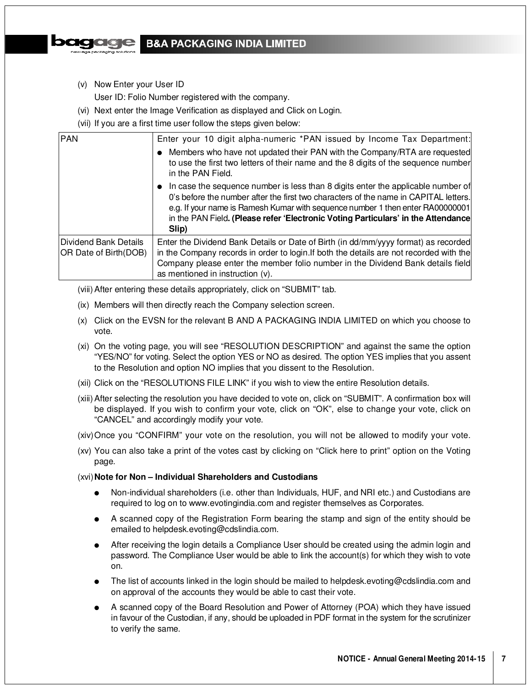

- (v) Now Enter your User ID
	- User ID: Folio Number registered with the company.
- (vi) Next enter the Image Verification as displayed and Click on Login.
- (vii) If you are a first time user follow the steps given below:

| PAN                                            | Enter your 10 digit alpha-numeric *PAN issued by Income Tax Department:                                                                                                                                                                                                                                                                                            |
|------------------------------------------------|--------------------------------------------------------------------------------------------------------------------------------------------------------------------------------------------------------------------------------------------------------------------------------------------------------------------------------------------------------------------|
|                                                | • Members who have not updated their PAN with the Company/RTA are requested<br>to use the first two letters of their name and the 8 digits of the sequence number<br>in the PAN Field.                                                                                                                                                                             |
|                                                | $\bullet$ In case the sequence number is less than 8 digits enter the applicable number of<br>0's before the number after the first two characters of the name in CAPITAL letters.<br>e.g. If your name is Ramesh Kumar with sequence number 1 then enter RA00000001<br>in the PAN Field. (Please refer 'Electronic Voting Particulars' in the Attendance<br>Slip) |
| Dividend Bank Details<br>OR Date of Birth(DOB) | Enter the Dividend Bank Details or Date of Birth (in dd/mm/yyyy format) as recorded<br>in the Company records in order to login. If both the details are not recorded with the<br>Company please enter the member folio number in the Dividend Bank details field<br>as mentioned in instruction (v).                                                              |

- (viii) After entering these details appropriately, click on "SUBMIT" tab.
- (ix) Members will then directly reach the Company selection screen.
- (x) Click on the EVSN for the relevant B AND A PACKAGING INDIA LIMITED on which you choose to vote.
- (xi) On the voting page, you will see "RESOLUTION DESCRIPTION" and against the same the option "YES/NO" for voting. Select the option YES or NO as desired. The option YES implies that you assent to the Resolution and option NO implies that you dissent to the Resolution.
- (xii) Click on the "RESOLUTIONS FILE LINK" if you wish to view the entire Resolution details.
- (xiii) After selecting the resolution you have decided to vote on, click on "SUBMIT". A confirmation box will be displayed. If you wish to confirm your vote, click on "OK", else to change your vote, click on "CANCEL" and accordingly modify your vote.
- (xiv)Once you "CONFIRM" your vote on the resolution, you will not be allowed to modify your vote.
- (xv) You can also take a print of the votes cast by clicking on "Click here to print" option on the Voting page.

## (xvi)**Note for Non – Individual Shareholders and Custodians**

- Non-individual shareholders (i.e. other than Individuals, HUF, and NRI etc.) and Custodians are required to log on to www.evotingindia.com and register themselves as Corporates.
- A scanned copy of the Registration Form bearing the stamp and sign of the entity should be emailed to helpdesk.evoting@cdslindia.com.
- After receiving the login details a Compliance User should be created using the admin login and password. The Compliance User would be able to link the account(s) for which they wish to vote on.
- The list of accounts linked in the login should be mailed to helpdesk.evoting@cdslindia.com and on approval of the accounts they would be able to cast their vote.
- A scanned copy of the Board Resolution and Power of Attorney (POA) which they have issued in favour of the Custodian, if any, should be uploaded in PDF format in the system for the scrutinizer to verify the same.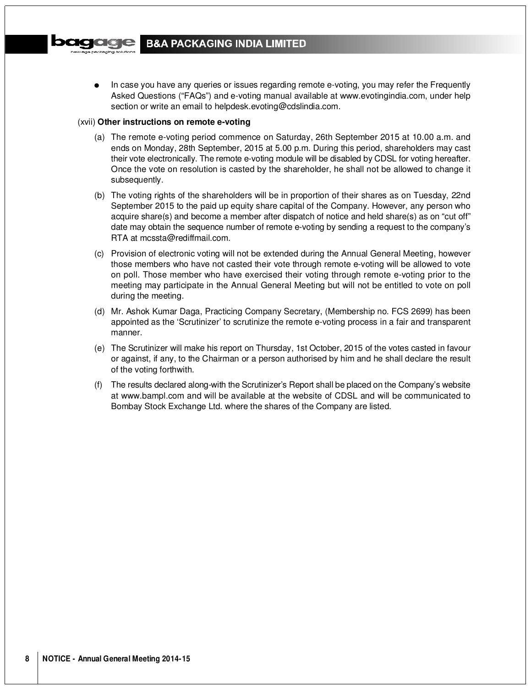In case you have any queries or issues regarding remote e-voting, you may refer the Frequently Asked Questions ("FAQs") and e-voting manual available at www.evotingindia.com, under help section or write an email to helpdesk.evoting@cdslindia.com.

#### (xvii) **Other instructions on remote e-voting**

- (a) The remote e-voting period commence on Saturday, 26th September 2015 at 10.00 a.m. and ends on Monday, 28th September, 2015 at 5.00 p.m. During this period, shareholders may cast their vote electronically. The remote e-voting module will be disabled by CDSL for voting hereafter. Once the vote on resolution is casted by the shareholder, he shall not be allowed to change it subsequently.
- (b) The voting rights of the shareholders will be in proportion of their shares as on Tuesday, 22nd September 2015 to the paid up equity share capital of the Company. However, any person who acquire share(s) and become a member after dispatch of notice and held share(s) as on "cut off" date may obtain the sequence number of remote e-voting by sending a request to the company's RTA at mcssta@rediffmail.com.
- (c) Provision of electronic voting will not be extended during the Annual General Meeting, however those members who have not casted their vote through remote e-voting will be allowed to vote on poll. Those member who have exercised their voting through remote e-voting prior to the meeting may participate in the Annual General Meeting but will not be entitled to vote on poll during the meeting.
- (d) Mr. Ashok Kumar Daga, Practicing Company Secretary, (Membership no. FCS 2699) has been appointed as the 'Scrutinizer' to scrutinize the remote e-voting process in a fair and transparent manner.
- (e) The Scrutinizer will make his report on Thursday, 1st October, 2015 of the votes casted in favour or against, if any, to the Chairman or a person authorised by him and he shall declare the result of the voting forthwith.
- (f) The results declared along-with the Scrutinizer's Report shall be placed on the Company's website at www.bampl.com and will be available at the website of CDSL and will be communicated to Bombay Stock Exchange Ltd. where the shares of the Company are listed.